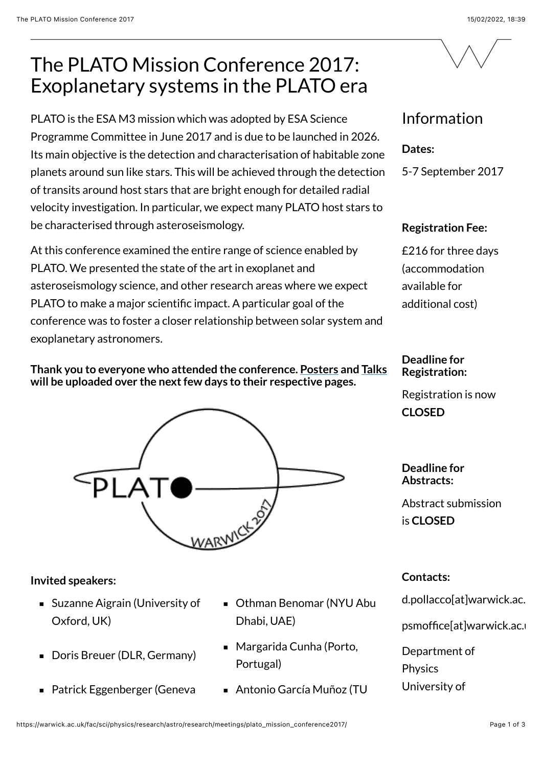## The PLATO Mission Conference 2017: Exoplanetary systems in the PLATO era

PLATO is the ESA M3 mission which was adopted by ESA Science Programme Committee in June 2017 and is due to be launched in 2026. Its main objective is the detection and characterisation of habitable zone planets around sun like stars. This will be achieved through the detection of transits around host stars that are bright enough for detailed radial velocity investigation. In particular, we expect many PLATO host stars to be characterised through asteroseismology.

At this conference examined the entire range of science enabled by PLATO. We presented the state of the art in exoplanet and asteroseismology science, and other research areas where we expect PLATO to make a major scientific impact. A particular goal of the conference was to foster a closer relationship between solar system and exoplanetary astronomers.

### **Thank you to everyone who attended the conference. [Posters](https://warwick.ac.uk/fac/sci/physics/research/astro/research/meetings/plato_mission_conference2017/plato2017_schedule/posters/) and [Talks](https://warwick.ac.uk/fac/sci/physics/research/astro/research/meetings/plato_mission_conference2017/plato2017_schedule/talks/) will be uploaded over the next few days to their respective pages.**



### **Invited speakers:**

- Suzanne Aigrain (University of Oxford, UK)
- 
- Patrick Eggenberger (Geneva → Antonio García Muñoz (TU
- Othman Benomar (NYU Abu Dhabi, UAE)
- Margarida Cunha (Porto,<br>■ Doris Breuer (DLR, Germany) Portugal)
	-

### Information

**Dates:**

5-7 September 2017

### **Registration Fee:**

£216 for three days (accommodation available for additional cost)

**Deadline for Registration:**

Registration is now **CLOSED**

**Deadline for Abstracts:**

Abstract submission is **CLOSED**

### **Contacts:**

d.pollacco[at]warwick.ac.

psmoffice[at]warwick.ac.uk

Department of

**Physics** 

University of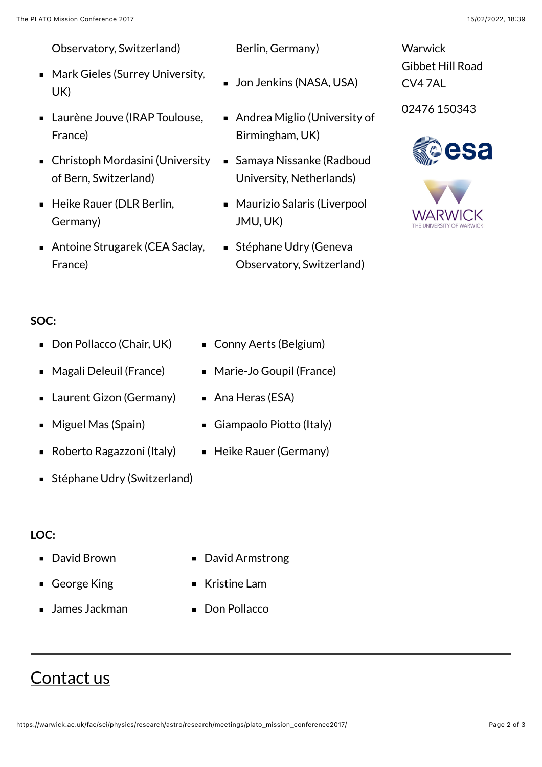Observatory, Switzerland) Berlin, Germany)

- **Mark Gieles (Surrey University,** UK) UK)
- **Laurène Jouve (IRAP Toulouse,** France)
- Christoph Mordasini (University of Bern, Switzerland)
- Heike Rauer (DLR Berlin, Germany)
- Antoine Strugarek (CEA Saclay, France)

- 
- Andrea Miglio (University of Birmingham, UK)
- Samaya Nissanke (Radboud University, Netherlands)
- Maurizio Salaris (Liverpool JMU, UK)
- Stéphane Udry (Geneva Observatory, Switzerland)

**Warwick** Gibbet Hill Road CV4 7AL

02476 150343



### **SOC:**

- Don Pollacco (Chair, UK) Conny Aerts (Belgium)
- 
- Laurent Gizon (Germany)  $\blacksquare$  Ana Heras (ESA)
- 
- $\blacksquare$
- Stéphane Udry (Switzerland)

### **LOC:**

- David Brown David Armstrong
- George King **COUP** Kristine Lam
- James Jackman Don Pollacco
- 
- Magali Deleuil (France) Marie-Jo Goupil (France)
	-
- Miguel Mas (Spain) Giampaolo Piotto (Italy)
	- Roberto Ragazzoni (Italy) Fleike Rauer (Germany)

# [Contact us](https://warwick.ac.uk/fac/sci/physics/contact/)